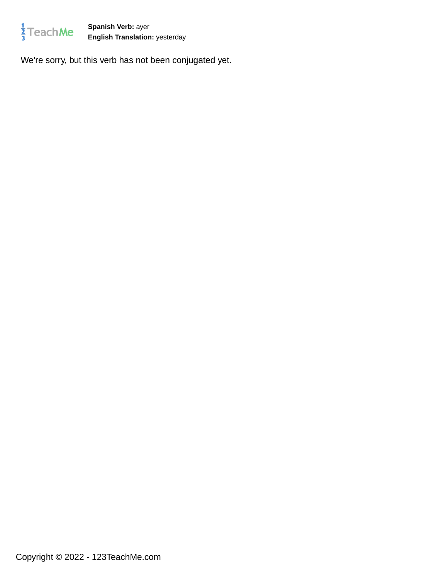

**Spanish Verb:** ayer **English Translation:** yesterday

We're sorry, but this verb has not been conjugated yet.